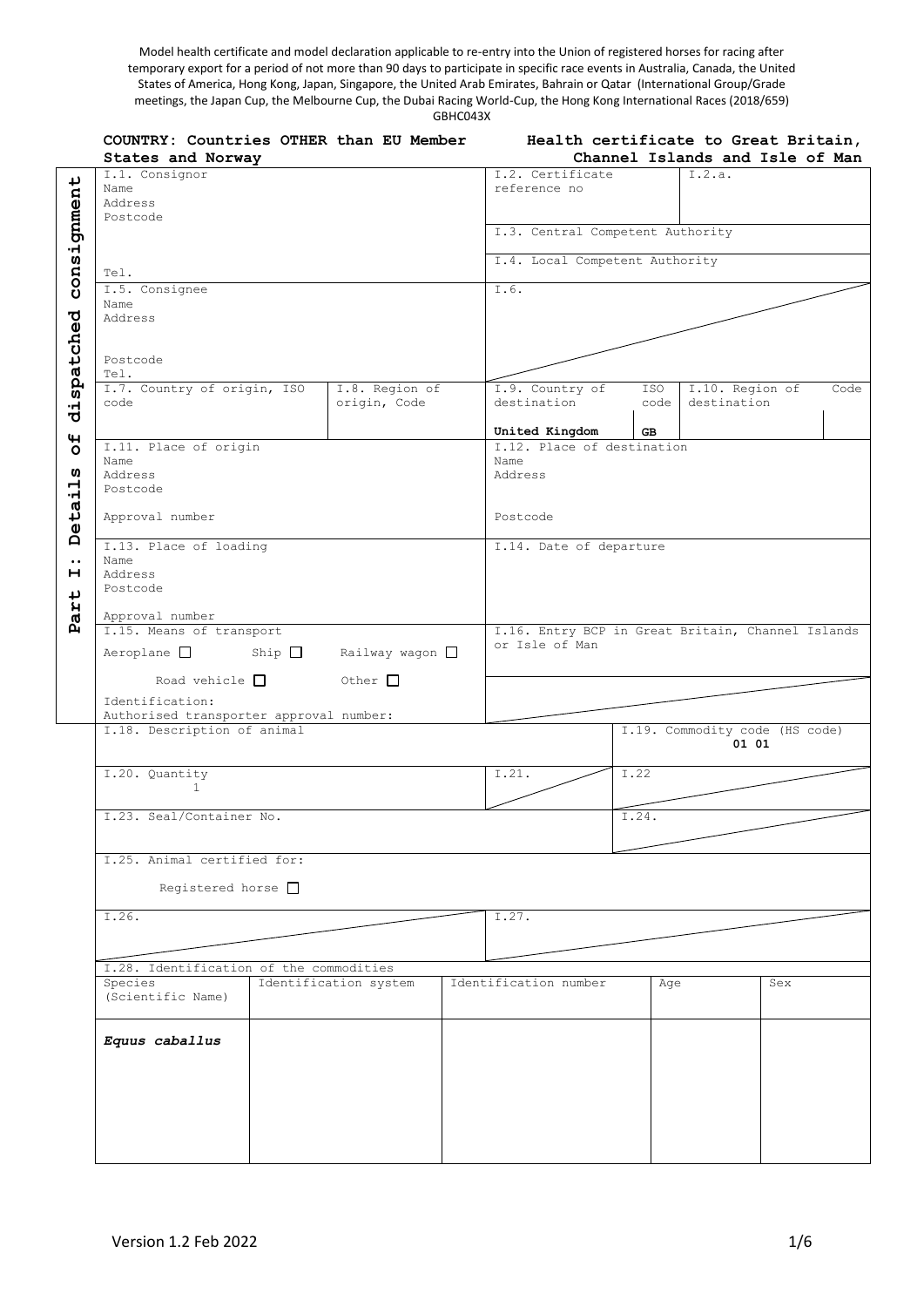Model health certificate and model declaration applicable to re-entry into the Union of registered horses for racing after temporary export for a period of not more than 90 days to participate in specific race events in Australia, Canada, the United States of America, Hong Kong, Japan, Singapore, the United Arab Emirates, Bahrain or Qatar (International Group/Grade meetings, the Japan Cup, the Melbourne Cup, the Dubai Racing World-Cup, the Hong Kong International Races (2018/659) GBHC043X

|                           | COUNTRY: Countries OTHER than EU Member<br>States and Norway          | Health certificate to Great Britain,<br>Channel Islands and Isle of Man |  |                                                   |                                |             |                                |     |      |
|---------------------------|-----------------------------------------------------------------------|-------------------------------------------------------------------------|--|---------------------------------------------------|--------------------------------|-------------|--------------------------------|-----|------|
| consignment<br>dispatched | I.1. Consignor<br>Name<br>Address<br>Postcode                         |                                                                         |  | I.2. Certificate<br>reference no                  | I.2.a.                         |             |                                |     |      |
|                           |                                                                       |                                                                         |  | I.3. Central Competent Authority                  |                                |             |                                |     |      |
|                           | Tel.                                                                  |                                                                         |  | I.4. Local Competent Authority                    |                                |             |                                |     |      |
|                           | I.5. Consignee<br>Name<br>Address<br>Postcode<br>Tel.                 |                                                                         |  | I.6.                                              |                                |             |                                |     |      |
|                           | I.7. Country of origin, ISO<br>I.8. Region of<br>origin, Code<br>code |                                                                         |  |                                                   | I.9. Country of<br>destination | ISO<br>code | I.10. Region of<br>destination |     | Code |
| $\mathbf{H}$              |                                                                       |                                                                         |  |                                                   | United Kingdom                 | <b>GB</b>   |                                |     |      |
| $\circ$<br>w<br>님         | I.11. Place of origin<br>Name<br>Address<br>Postcode                  |                                                                         |  | I.12. Place of destination<br>Name<br>Address     |                                |             |                                |     |      |
| Deta:                     | Approval number                                                       |                                                                         |  | Postcode                                          |                                |             |                                |     |      |
| $\bullet$ .               | I.13. Place of loading<br>Name                                        |                                                                         |  | I.14. Date of departure                           |                                |             |                                |     |      |
| н<br>Part                 | Address<br>Postcode                                                   |                                                                         |  |                                                   |                                |             |                                |     |      |
|                           | Approval number<br>I.15. Means of transport                           |                                                                         |  | I.16. Entry BCP in Great Britain, Channel Islands |                                |             |                                |     |      |
|                           | Aeroplane<br>Ship<br>Railway wagon $\square$                          |                                                                         |  | or Isle of Man                                    |                                |             |                                |     |      |
|                           | Road vehicle $\Box$<br>Other $\Box$                                   |                                                                         |  |                                                   |                                |             |                                |     |      |
|                           | Identification:<br>Authorised transporter approval number:            |                                                                         |  |                                                   |                                |             |                                |     |      |
|                           | I.18. Description of animal                                           |                                                                         |  | I.19. Commodity code (HS code)<br>01 01           |                                |             |                                |     |      |
|                           | I.20. Quantity                                                        |                                                                         |  | I.21.<br>I.22                                     |                                |             |                                |     |      |
|                           | $\mathbf{1}$                                                          |                                                                         |  |                                                   |                                |             |                                |     |      |
|                           | I.23. Seal/Container No.                                              |                                                                         |  |                                                   | I.24.                          |             |                                |     |      |
|                           | I.25. Animal certified for:<br>Registered horse $\Box$                |                                                                         |  |                                                   |                                |             |                                |     |      |
|                           |                                                                       |                                                                         |  |                                                   |                                |             |                                |     |      |
|                           | I.26.                                                                 |                                                                         |  |                                                   | I.27.                          |             |                                |     |      |
|                           | I.28. Identification of the commodities                               |                                                                         |  |                                                   |                                |             |                                |     |      |
|                           | Species<br>(Scientific Name)                                          | Identification system                                                   |  |                                                   | Identification number          | Age         |                                | Sex |      |
|                           | Equus caballus                                                        |                                                                         |  |                                                   |                                |             |                                |     |      |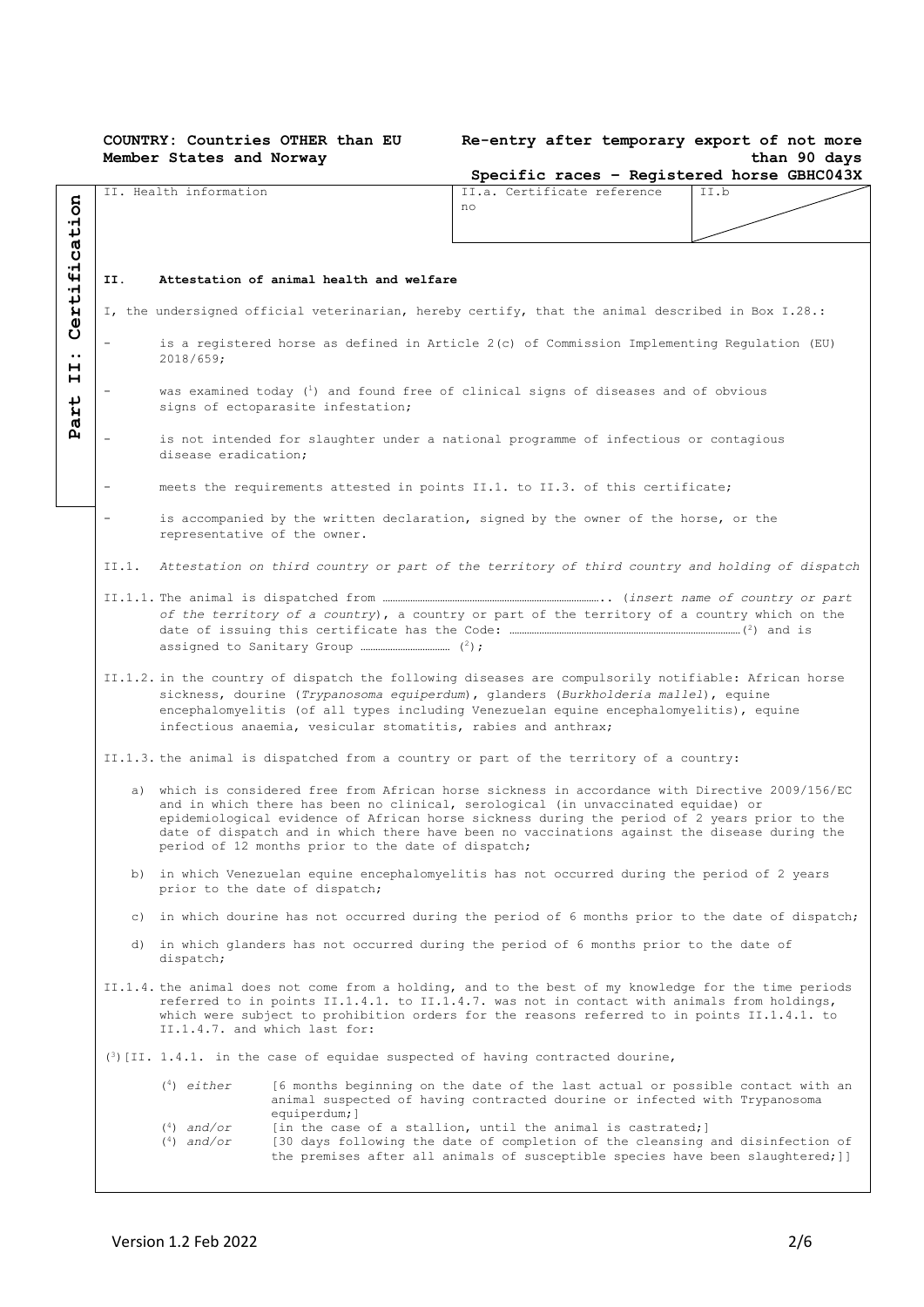### **COUNTRY: Countries OTHER than EU Member States and Norway**

### **Re-entry after temporary export of not more than 90 days**

|                                                                                              |                                                                                                                                                                                                                                                                                                                                                                                                                                             |                                                                                                                                                                                                                                                                                                                                                       | Specific races - Registered horse GBHC043X                                                                                                                                                                                                                                                          |      |  |  |  |  |  |
|----------------------------------------------------------------------------------------------|---------------------------------------------------------------------------------------------------------------------------------------------------------------------------------------------------------------------------------------------------------------------------------------------------------------------------------------------------------------------------------------------------------------------------------------------|-------------------------------------------------------------------------------------------------------------------------------------------------------------------------------------------------------------------------------------------------------------------------------------------------------------------------------------------------------|-----------------------------------------------------------------------------------------------------------------------------------------------------------------------------------------------------------------------------------------------------------------------------------------------------|------|--|--|--|--|--|
|                                                                                              |                                                                                                                                                                                                                                                                                                                                                                                                                                             | II. Health information                                                                                                                                                                                                                                                                                                                                | II.a. Certificate reference                                                                                                                                                                                                                                                                         | II.b |  |  |  |  |  |
|                                                                                              |                                                                                                                                                                                                                                                                                                                                                                                                                                             |                                                                                                                                                                                                                                                                                                                                                       | no                                                                                                                                                                                                                                                                                                  |      |  |  |  |  |  |
| ation                                                                                        |                                                                                                                                                                                                                                                                                                                                                                                                                                             |                                                                                                                                                                                                                                                                                                                                                       |                                                                                                                                                                                                                                                                                                     |      |  |  |  |  |  |
| fic                                                                                          |                                                                                                                                                                                                                                                                                                                                                                                                                                             |                                                                                                                                                                                                                                                                                                                                                       |                                                                                                                                                                                                                                                                                                     |      |  |  |  |  |  |
|                                                                                              | II.                                                                                                                                                                                                                                                                                                                                                                                                                                         | Attestation of animal health and welfare                                                                                                                                                                                                                                                                                                              |                                                                                                                                                                                                                                                                                                     |      |  |  |  |  |  |
| Certi                                                                                        |                                                                                                                                                                                                                                                                                                                                                                                                                                             |                                                                                                                                                                                                                                                                                                                                                       | I, the undersigned official veterinarian, hereby certify, that the animal described in Box I.28.:                                                                                                                                                                                                   |      |  |  |  |  |  |
| $\bullet\bullet$<br>н                                                                        |                                                                                                                                                                                                                                                                                                                                                                                                                                             | is a registered horse as defined in Article 2(c) of Commission Implementing Regulation (EU)<br>2018/659:                                                                                                                                                                                                                                              |                                                                                                                                                                                                                                                                                                     |      |  |  |  |  |  |
| н<br>Η                                                                                       |                                                                                                                                                                                                                                                                                                                                                                                                                                             | was examined today $\binom{1}{1}$ and found free of clinical signs of diseases and of obvious<br>signs of ectoparasite infestation;                                                                                                                                                                                                                   |                                                                                                                                                                                                                                                                                                     |      |  |  |  |  |  |
| ർ<br>д                                                                                       |                                                                                                                                                                                                                                                                                                                                                                                                                                             | is not intended for slaughter under a national programme of infectious or contagious<br>disease eradication:                                                                                                                                                                                                                                          |                                                                                                                                                                                                                                                                                                     |      |  |  |  |  |  |
|                                                                                              |                                                                                                                                                                                                                                                                                                                                                                                                                                             |                                                                                                                                                                                                                                                                                                                                                       | meets the requirements attested in points II.1. to II.3. of this certificate;                                                                                                                                                                                                                       |      |  |  |  |  |  |
|                                                                                              | $\overline{\phantom{a}}$                                                                                                                                                                                                                                                                                                                                                                                                                    | representative of the owner.                                                                                                                                                                                                                                                                                                                          | is accompanied by the written declaration, signed by the owner of the horse, or the                                                                                                                                                                                                                 |      |  |  |  |  |  |
|                                                                                              | II.1.                                                                                                                                                                                                                                                                                                                                                                                                                                       |                                                                                                                                                                                                                                                                                                                                                       | Attestation on third country or part of the territory of third country and holding of dispatch                                                                                                                                                                                                      |      |  |  |  |  |  |
| of the territory of a country), a country or part of the territory of a country which on the |                                                                                                                                                                                                                                                                                                                                                                                                                                             |                                                                                                                                                                                                                                                                                                                                                       |                                                                                                                                                                                                                                                                                                     |      |  |  |  |  |  |
|                                                                                              |                                                                                                                                                                                                                                                                                                                                                                                                                                             | II.1.2. in the country of dispatch the following diseases are compulsorily notifiable: African horse<br>sickness, dourine (Trypanosoma equiperdum), glanders (Burkholderia mallel), equine<br>encephalomyelitis (of all types including Venezuelan equine encephalomyelitis), equine<br>infectious anaemia, vesicular stomatitis, rabies and anthrax; |                                                                                                                                                                                                                                                                                                     |      |  |  |  |  |  |
|                                                                                              |                                                                                                                                                                                                                                                                                                                                                                                                                                             |                                                                                                                                                                                                                                                                                                                                                       | II.1.3. the animal is dispatched from a country or part of the territory of a country:                                                                                                                                                                                                              |      |  |  |  |  |  |
|                                                                                              | a) which is considered free from African horse sickness in accordance with Directive 2009/156/EC<br>and in which there has been no clinical, serological (in unvaccinated equidae) or<br>epidemiological evidence of African horse sickness during the period of 2 years prior to the<br>date of dispatch and in which there have been no vaccinations against the disease during the<br>period of 12 months prior to the date of dispatch; |                                                                                                                                                                                                                                                                                                                                                       |                                                                                                                                                                                                                                                                                                     |      |  |  |  |  |  |
|                                                                                              |                                                                                                                                                                                                                                                                                                                                                                                                                                             | prior to the date of dispatch;                                                                                                                                                                                                                                                                                                                        | b) in which Venezuelan equine encephalomyelitis has not occurred during the period of 2 years                                                                                                                                                                                                       |      |  |  |  |  |  |
|                                                                                              |                                                                                                                                                                                                                                                                                                                                                                                                                                             | c) in which dourine has not occurred during the period of 6 months prior to the date of dispatch;                                                                                                                                                                                                                                                     |                                                                                                                                                                                                                                                                                                     |      |  |  |  |  |  |
|                                                                                              |                                                                                                                                                                                                                                                                                                                                                                                                                                             | dispatch;                                                                                                                                                                                                                                                                                                                                             | d) in which glanders has not occurred during the period of 6 months prior to the date of                                                                                                                                                                                                            |      |  |  |  |  |  |
|                                                                                              |                                                                                                                                                                                                                                                                                                                                                                                                                                             | II.1.4.7. and which last for:                                                                                                                                                                                                                                                                                                                         | II.1.4. the animal does not come from a holding, and to the best of my knowledge for the time periods<br>referred to in points II.1.4.1. to II.1.4.7. was not in contact with animals from holdings,<br>which were subject to prohibition orders for the reasons referred to in points II.1.4.1. to |      |  |  |  |  |  |
|                                                                                              |                                                                                                                                                                                                                                                                                                                                                                                                                                             |                                                                                                                                                                                                                                                                                                                                                       | $\binom{3}{1}$ [II. 1.4.1. in the case of equidae suspected of having contracted dourine,                                                                                                                                                                                                           |      |  |  |  |  |  |
|                                                                                              |                                                                                                                                                                                                                                                                                                                                                                                                                                             | $(4)$ either<br>equiperdum; ]                                                                                                                                                                                                                                                                                                                         | [6 months beginning on the date of the last actual or possible contact with an<br>animal suspected of having contracted dourine or infected with Trypanosoma                                                                                                                                        |      |  |  |  |  |  |
|                                                                                              |                                                                                                                                                                                                                                                                                                                                                                                                                                             | $(4)$ and/or<br>$(4)$ and/or                                                                                                                                                                                                                                                                                                                          | [in the case of a stallion, until the animal is castrated;]<br>[30 days following the date of completion of the cleansing and disinfection of<br>the premises after all animals of susceptible species have been slaughtered; []                                                                    |      |  |  |  |  |  |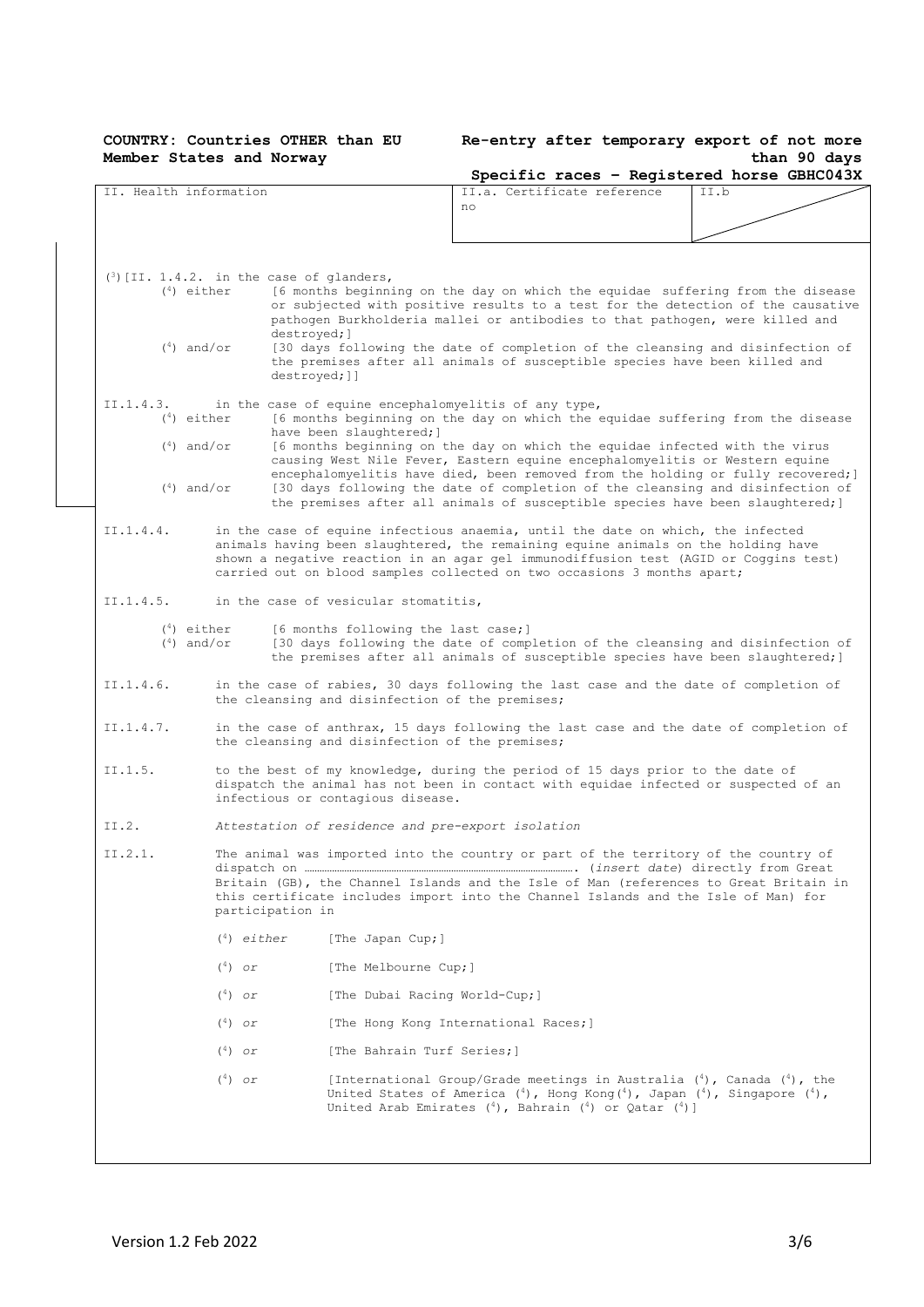#### **COUNTRY: Countries OTHER than EU Member States and Norway**

### **Re-entry after temporary export of not more than 90 days**

|           |                                                                                                  | Specific races - Registered horse GBHC043X                                                                                                                                                                                                                                                                                              |      |
|-----------|--------------------------------------------------------------------------------------------------|-----------------------------------------------------------------------------------------------------------------------------------------------------------------------------------------------------------------------------------------------------------------------------------------------------------------------------------------|------|
|           | II. Health information                                                                           | II.a. Certificate reference<br>no                                                                                                                                                                                                                                                                                                       | II.b |
|           |                                                                                                  |                                                                                                                                                                                                                                                                                                                                         |      |
|           |                                                                                                  |                                                                                                                                                                                                                                                                                                                                         |      |
|           | $(3)$ [II. 1.4.2. in the case of glanders,<br>$(4)$ either<br>destroyed; ]                       | [6 months beginning on the day on which the equidae suffering from the disease<br>or subjected with positive results to a test for the detection of the causative<br>pathogen Burkholderia mallei or antibodies to that pathogen, were killed and                                                                                       |      |
|           | $(4)$ and/or<br>destroyed; ]]                                                                    | [30 days following the date of completion of the cleansing and disinfection of<br>the premises after all animals of susceptible species have been killed and                                                                                                                                                                            |      |
| II.1.4.3. | in the case of equine encephalomyelitis of any type,<br>$(4)$ either<br>have been slaughtered; ] | [6 months beginning on the day on which the equidae suffering from the disease                                                                                                                                                                                                                                                          |      |
|           | $(4)$ and/or                                                                                     | [6 months beginning on the day on which the equidae infected with the virus<br>causing West Nile Fever, Eastern equine encephalomyelitis or Western equine<br>encephalomyelitis have died, been removed from the holding or fully recovered; ]                                                                                          |      |
|           | $(4)$ and/or                                                                                     | [30 days following the date of completion of the cleansing and disinfection of<br>the premises after all animals of susceptible species have been slaughtered; ]                                                                                                                                                                        |      |
| II.1.4.4. |                                                                                                  | in the case of equine infectious anaemia, until the date on which, the infected<br>animals having been slaughtered, the remaining equine animals on the holding have<br>shown a negative reaction in an agar gel immunodiffusion test (AGID or Coggins test)<br>carried out on blood samples collected on two occasions 3 months apart; |      |
| II.1.4.5. | in the case of vesicular stomatitis,                                                             |                                                                                                                                                                                                                                                                                                                                         |      |
|           | $(4)$ either<br>[6 months following the last case;]<br>$(4)$ and/or                              | [30 days following the date of completion of the cleansing and disinfection of<br>the premises after all animals of susceptible species have been slaughtered; ]                                                                                                                                                                        |      |
| II.1.4.6. | the cleansing and disinfection of the premises;                                                  | in the case of rabies, 30 days following the last case and the date of completion of                                                                                                                                                                                                                                                    |      |
| II.1.4.7. | the cleansing and disinfection of the premises;                                                  | in the case of anthrax, 15 days following the last case and the date of completion of                                                                                                                                                                                                                                                   |      |
| II.1.5.   | infectious or contagious disease.                                                                | to the best of my knowledge, during the period of 15 days prior to the date of<br>dispatch the animal has not been in contact with equidae infected or suspected of an                                                                                                                                                                  |      |
| II.2.     | Attestation of residence and pre-export isolation                                                |                                                                                                                                                                                                                                                                                                                                         |      |
| II.2.1.   | participation in                                                                                 | The animal was imported into the country or part of the territory of the country of<br>Britain (GB), the Channel Islands and the Isle of Man (references to Great Britain in<br>this certificate includes import into the Channel Islands and the Isle of Man) for                                                                      |      |
|           | $(4)$ either<br>[The Japan Cup;]                                                                 |                                                                                                                                                                                                                                                                                                                                         |      |
|           | $(4)$ or<br>[The Melbourne Cup;]                                                                 |                                                                                                                                                                                                                                                                                                                                         |      |
|           | [The Dubai Racing World-Cup;]<br>$(4)$ or                                                        |                                                                                                                                                                                                                                                                                                                                         |      |
|           | $(4)$ or                                                                                         | [The Hong Kong International Races;]                                                                                                                                                                                                                                                                                                    |      |
|           | $(4)$ or<br>[The Bahrain Turf Series;]                                                           |                                                                                                                                                                                                                                                                                                                                         |      |
|           | $(4)$ or                                                                                         | [International Group/Grade meetings in Australia $(4)$ , Canada $(4)$ , the<br>United States of America $({}^{4})$ , Hong Kong $({}^{4})$ , Japan $({}^{4})$ , Singapore $({}^{4})$ ,<br>United Arab Emirates $(4)$ , Bahrain $(4)$ or Qatar $(4)$ ]                                                                                    |      |
|           |                                                                                                  |                                                                                                                                                                                                                                                                                                                                         |      |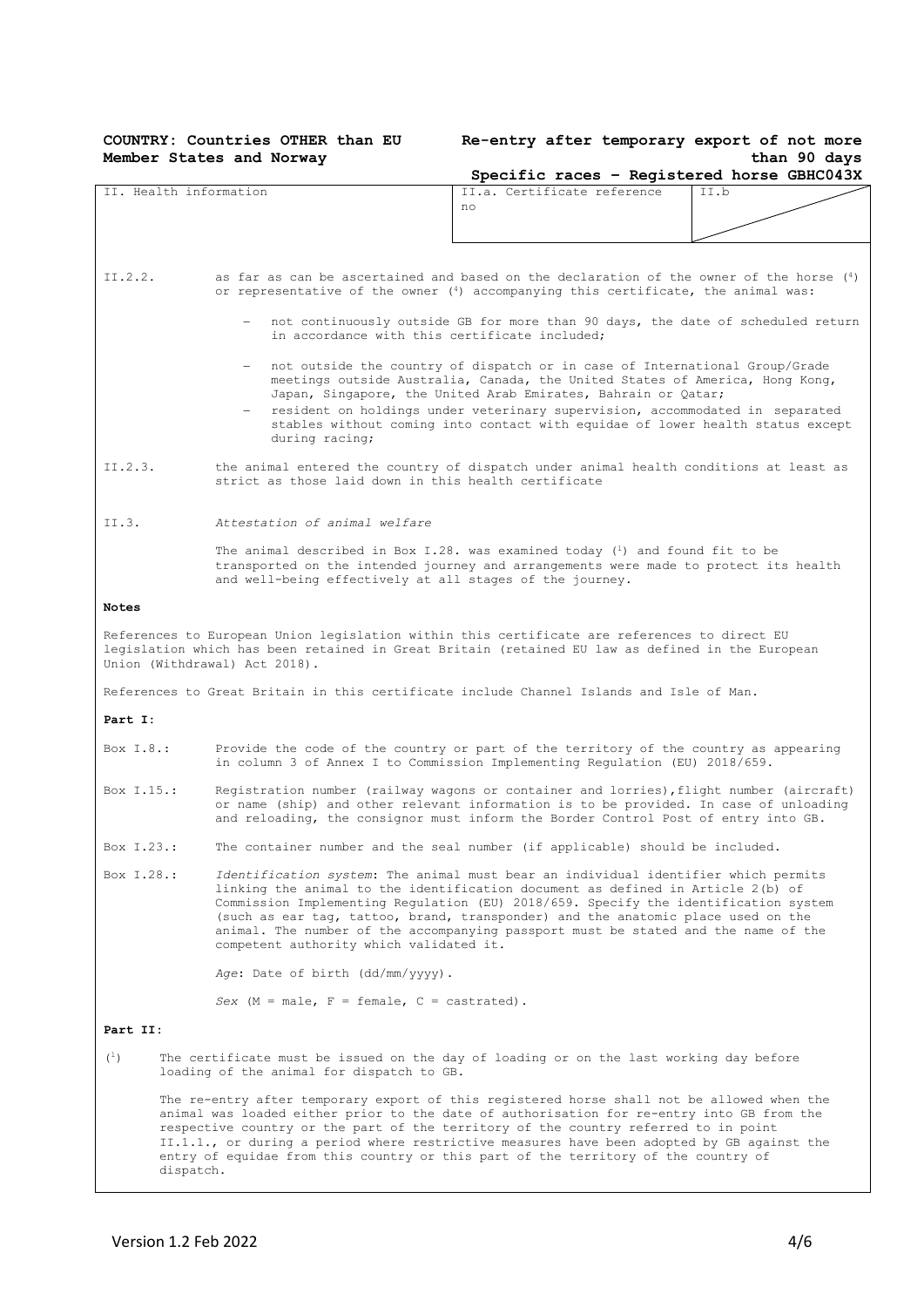# **Member States and Norway**

### **COUNTRY: Countries OTHER than EU Re-entry after temporary export of not more than 90 days**

|                |                                                                                                                                                                                                                                                                                                                                                                                                                                                                                                                                                                                                                                                                                                                                                 |                                                                                                                                                                        |                             |  | Specific races - Registered horse GBHC043X |  |  |
|----------------|-------------------------------------------------------------------------------------------------------------------------------------------------------------------------------------------------------------------------------------------------------------------------------------------------------------------------------------------------------------------------------------------------------------------------------------------------------------------------------------------------------------------------------------------------------------------------------------------------------------------------------------------------------------------------------------------------------------------------------------------------|------------------------------------------------------------------------------------------------------------------------------------------------------------------------|-----------------------------|--|--------------------------------------------|--|--|
|                | II. Health information                                                                                                                                                                                                                                                                                                                                                                                                                                                                                                                                                                                                                                                                                                                          | no                                                                                                                                                                     | II.a. Certificate reference |  | II.b                                       |  |  |
| II.2.2.        | as far as can be ascertained and based on the declaration of the owner of the horse $\binom{4}{1}$<br>or representative of the owner (4) accompanying this certificate, the animal was:<br>not continuously outside GB for more than 90 days, the date of scheduled return<br>in accordance with this certificate included;<br>not outside the country of dispatch or in case of International Group/Grade<br>meetings outside Australia, Canada, the United States of America, Hong Kong,<br>Japan, Singapore, the United Arab Emirates, Bahrain or Qatar;<br>resident on holdings under veterinary supervision, accommodated in separated<br>stables without coming into contact with equidae of lower health status except<br>during racing; |                                                                                                                                                                        |                             |  |                                            |  |  |
| II.2.3.        | the animal entered the country of dispatch under animal health conditions at least as<br>strict as those laid down in this health certificate                                                                                                                                                                                                                                                                                                                                                                                                                                                                                                                                                                                                   |                                                                                                                                                                        |                             |  |                                            |  |  |
| II.3.          | Attestation of animal welfare<br>and well-being effectively at all stages of the journey.                                                                                                                                                                                                                                                                                                                                                                                                                                                                                                                                                                                                                                                       | The animal described in Box I.28. was examined today $(1)$ and found fit to be<br>transported on the intended journey and arrangements were made to protect its health |                             |  |                                            |  |  |
| <b>Notes</b>   |                                                                                                                                                                                                                                                                                                                                                                                                                                                                                                                                                                                                                                                                                                                                                 |                                                                                                                                                                        |                             |  |                                            |  |  |
|                | References to European Union legislation within this certificate are references to direct EU<br>legislation which has been retained in Great Britain (retained EU law as defined in the European<br>Union (Withdrawal) Act 2018).                                                                                                                                                                                                                                                                                                                                                                                                                                                                                                               |                                                                                                                                                                        |                             |  |                                            |  |  |
|                | References to Great Britain in this certificate include Channel Islands and Isle of Man.                                                                                                                                                                                                                                                                                                                                                                                                                                                                                                                                                                                                                                                        |                                                                                                                                                                        |                             |  |                                            |  |  |
| Part I:        |                                                                                                                                                                                                                                                                                                                                                                                                                                                                                                                                                                                                                                                                                                                                                 |                                                                                                                                                                        |                             |  |                                            |  |  |
| Box $I.8.:$    | Provide the code of the country or part of the territory of the country as appearing<br>in column 3 of Annex I to Commission Implementing Regulation (EU) 2018/659.                                                                                                                                                                                                                                                                                                                                                                                                                                                                                                                                                                             |                                                                                                                                                                        |                             |  |                                            |  |  |
| Box I.15.:     | Registration number (railway wagons or container and lorries), flight number (aircraft)<br>or name (ship) and other relevant information is to be provided. In case of unloading<br>and reloading, the consignor must inform the Border Control Post of entry into GB.                                                                                                                                                                                                                                                                                                                                                                                                                                                                          |                                                                                                                                                                        |                             |  |                                            |  |  |
| Box I.23.:     | The container number and the seal number (if applicable) should be included.                                                                                                                                                                                                                                                                                                                                                                                                                                                                                                                                                                                                                                                                    |                                                                                                                                                                        |                             |  |                                            |  |  |
| Box I.28.:     | Identification system: The animal must bear an individual identifier which permits<br>linking the animal to the identification document as defined in Article 2(b) of<br>Commission Implementing Regulation (EU) 2018/659. Specify the identification system<br>(such as ear tag, tattoo, brand, transponder) and the anatomic place used on the<br>animal. The number of the accompanying passport must be stated and the name of the<br>competent authority which validated it.                                                                                                                                                                                                                                                               |                                                                                                                                                                        |                             |  |                                            |  |  |
|                | Age: Date of birth (dd/mm/yyyy).                                                                                                                                                                                                                                                                                                                                                                                                                                                                                                                                                                                                                                                                                                                |                                                                                                                                                                        |                             |  |                                            |  |  |
|                | Sex $(M = male, F = female, C = castrated)$ .                                                                                                                                                                                                                                                                                                                                                                                                                                                                                                                                                                                                                                                                                                   |                                                                                                                                                                        |                             |  |                                            |  |  |
| Part II:       |                                                                                                                                                                                                                                                                                                                                                                                                                                                                                                                                                                                                                                                                                                                                                 |                                                                                                                                                                        |                             |  |                                            |  |  |
| $\binom{1}{1}$ | The certificate must be issued on the day of loading or on the last working day before<br>loading of the animal for dispatch to GB.                                                                                                                                                                                                                                                                                                                                                                                                                                                                                                                                                                                                             |                                                                                                                                                                        |                             |  |                                            |  |  |
|                | The re-entry after temporary export of this registered horse shall not be allowed when the<br>animal was loaded either prior to the date of authorisation for re-entry into GB from the<br>respective country or the part of the territory of the country referred to in point<br>II.1.1., or during a period where restrictive measures have been adopted by GB against the<br>entry of equidae from this country or this part of the territory of the country of<br>dispatch.                                                                                                                                                                                                                                                                 |                                                                                                                                                                        |                             |  |                                            |  |  |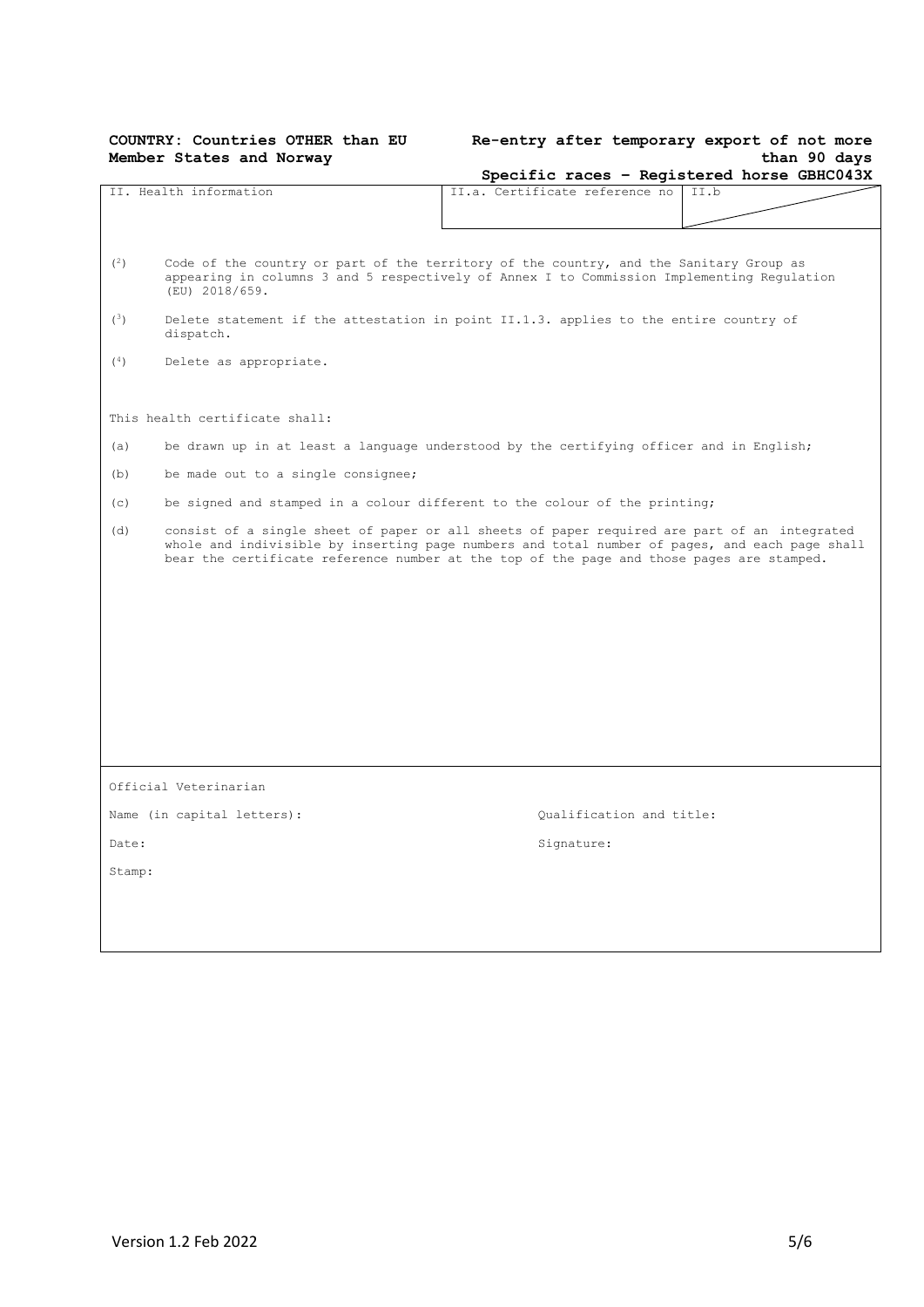# **Member States and Norway**

## **COUNTRY: Countries OTHER than EU Re-entry after temporary export of not more than 90 days**

|        |                                                                                                                                                                                                                                                                                             |  |                                |  | Specific races - Registered horse GBHC043X |  |
|--------|---------------------------------------------------------------------------------------------------------------------------------------------------------------------------------------------------------------------------------------------------------------------------------------------|--|--------------------------------|--|--------------------------------------------|--|
|        | II. Health information                                                                                                                                                                                                                                                                      |  | II.a. Certificate reference no |  | II.b                                       |  |
| (2)    | Code of the country or part of the territory of the country, and the Sanitary Group as<br>appearing in columns 3 and 5 respectively of Annex I to Commission Implementing Regulation<br>(EU) 2018/659.                                                                                      |  |                                |  |                                            |  |
| (3)    | Delete statement if the attestation in point II.1.3. applies to the entire country of<br>dispatch.                                                                                                                                                                                          |  |                                |  |                                            |  |
| (4)    | Delete as appropriate.                                                                                                                                                                                                                                                                      |  |                                |  |                                            |  |
|        | This health certificate shall:                                                                                                                                                                                                                                                              |  |                                |  |                                            |  |
| (a)    | be drawn up in at least a language understood by the certifying officer and in English;                                                                                                                                                                                                     |  |                                |  |                                            |  |
| (b)    | be made out to a single consignee;                                                                                                                                                                                                                                                          |  |                                |  |                                            |  |
| (c)    | be signed and stamped in a colour different to the colour of the printing;                                                                                                                                                                                                                  |  |                                |  |                                            |  |
| (d)    | consist of a single sheet of paper or all sheets of paper required are part of an integrated<br>whole and indivisible by inserting page numbers and total number of pages, and each page shall<br>bear the certificate reference number at the top of the page and those pages are stamped. |  |                                |  |                                            |  |
|        |                                                                                                                                                                                                                                                                                             |  |                                |  |                                            |  |
|        |                                                                                                                                                                                                                                                                                             |  |                                |  |                                            |  |
|        |                                                                                                                                                                                                                                                                                             |  |                                |  |                                            |  |
|        |                                                                                                                                                                                                                                                                                             |  |                                |  |                                            |  |
|        |                                                                                                                                                                                                                                                                                             |  |                                |  |                                            |  |
|        |                                                                                                                                                                                                                                                                                             |  |                                |  |                                            |  |
|        | Official Veterinarian                                                                                                                                                                                                                                                                       |  |                                |  |                                            |  |
|        | Name (in capital letters):                                                                                                                                                                                                                                                                  |  | Qualification and title:       |  |                                            |  |
| Date:  |                                                                                                                                                                                                                                                                                             |  | Signature:                     |  |                                            |  |
| Stamp: |                                                                                                                                                                                                                                                                                             |  |                                |  |                                            |  |
|        |                                                                                                                                                                                                                                                                                             |  |                                |  |                                            |  |